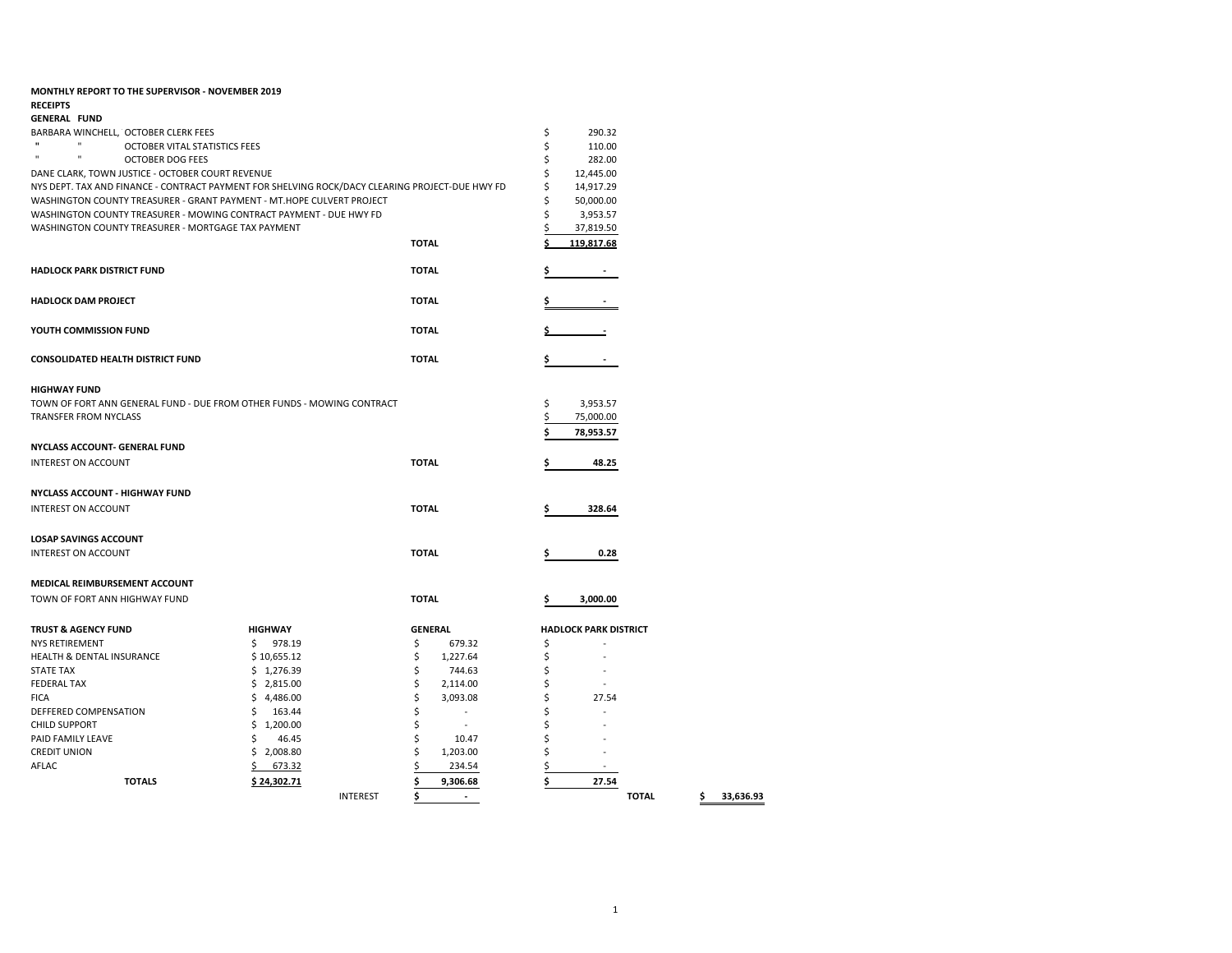| <b>MONTHLY REPORT TO THE SUPERVISOR - NOVEMBER 2019</b><br><b>RECEIPTS</b>                      |                               |                 |                |                          |    |                              |              |                 |
|-------------------------------------------------------------------------------------------------|-------------------------------|-----------------|----------------|--------------------------|----|------------------------------|--------------|-----------------|
| <b>GENERAL FUND</b>                                                                             |                               |                 |                |                          |    |                              |              |                 |
| BARBARA WINCHELL, OCTOBER CLERK FEES                                                            |                               |                 |                |                          | \$ | 290.32                       |              |                 |
| $\mathbf{u}$<br>$\mathbf{u}$                                                                    | OCTOBER VITAL STATISTICS FEES |                 |                |                          | \$ | 110.00                       |              |                 |
| $\mathbf{u}$<br>$\mathbf{u}$<br><b>OCTOBER DOG FEES</b>                                         |                               |                 |                |                          | \$ | 282.00                       |              |                 |
| DANE CLARK, TOWN JUSTICE - OCTOBER COURT REVENUE                                                |                               |                 |                |                          | \$ | 12,445.00                    |              |                 |
| NYS DEPT. TAX AND FINANCE - CONTRACT PAYMENT FOR SHELVING ROCK/DACY CLEARING PROJECT-DUE HWY FD |                               |                 |                |                          | \$ | 14,917.29                    |              |                 |
| WASHINGTON COUNTY TREASURER - GRANT PAYMENT - MT.HOPE CULVERT PROJECT                           |                               |                 |                | Ś                        |    |                              |              |                 |
| WASHINGTON COUNTY TREASURER - MOWING CONTRACT PAYMENT - DUE HWY FD                              |                               |                 |                |                          | \$ | 50,000.00                    |              |                 |
|                                                                                                 |                               |                 |                |                          | \$ | 3,953.57                     |              |                 |
| WASHINGTON COUNTY TREASURER - MORTGAGE TAX PAYMENT                                              |                               |                 |                |                          |    | 37,819.50                    |              |                 |
|                                                                                                 |                               |                 | <b>TOTAL</b>   |                          | \$ | 119,817.68                   |              |                 |
| <b>HADLOCK PARK DISTRICT FUND</b>                                                               |                               |                 | <b>TOTAL</b>   |                          | \$ |                              |              |                 |
| <b>HADLOCK DAM PROJECT</b>                                                                      |                               |                 | <b>TOTAL</b>   |                          |    |                              |              |                 |
| YOUTH COMMISSION FUND                                                                           |                               |                 | <b>TOTAL</b>   |                          |    |                              |              |                 |
| <b>CONSOLIDATED HEALTH DISTRICT FUND</b>                                                        |                               |                 | <b>TOTAL</b>   |                          | \$ |                              |              |                 |
| <b>HIGHWAY FUND</b>                                                                             |                               |                 |                |                          |    |                              |              |                 |
| TOWN OF FORT ANN GENERAL FUND - DUE FROM OTHER FUNDS - MOWING CONTRACT                          |                               |                 |                |                          | \$ | 3,953.57                     |              |                 |
| <b>TRANSFER FROM NYCLASS</b>                                                                    |                               |                 |                |                          | \$ | 75,000.00                    |              |                 |
|                                                                                                 |                               |                 |                |                          |    | 78,953.57                    |              |                 |
| NYCLASS ACCOUNT- GENERAL FUND                                                                   |                               |                 |                |                          |    |                              |              |                 |
| <b>INTEREST ON ACCOUNT</b>                                                                      |                               |                 | <b>TOTAL</b>   |                          | \$ |                              |              |                 |
|                                                                                                 |                               |                 |                |                          |    | 48.25                        |              |                 |
| <b>NYCLASS ACCOUNT - HIGHWAY FUND</b>                                                           |                               |                 |                |                          |    |                              |              |                 |
| <b>INTEREST ON ACCOUNT</b>                                                                      |                               |                 | <b>TOTAL</b>   |                          |    | 328.64                       |              |                 |
|                                                                                                 |                               |                 |                |                          |    |                              |              |                 |
| <b>LOSAP SAVINGS ACCOUNT</b>                                                                    |                               |                 |                |                          |    |                              |              |                 |
| <b>INTEREST ON ACCOUNT</b>                                                                      |                               |                 | <b>TOTAL</b>   |                          | \$ | 0.28                         |              |                 |
|                                                                                                 |                               |                 |                |                          |    |                              |              |                 |
| MEDICAL REIMBURSEMENT ACCOUNT                                                                   |                               |                 |                |                          |    |                              |              |                 |
| TOWN OF FORT ANN HIGHWAY FUND                                                                   |                               |                 | <b>TOTAL</b>   |                          |    | 3,000.00                     |              |                 |
| <b>TRUST &amp; AGENCY FUND</b>                                                                  | <b>HIGHWAY</b>                |                 | <b>GENERAL</b> |                          |    | <b>HADLOCK PARK DISTRICT</b> |              |                 |
| <b>NYS RETIREMENT</b>                                                                           | \$<br>978.19                  |                 | \$             | 679.32                   | \$ |                              |              |                 |
| <b>HEALTH &amp; DENTAL INSURANCE</b>                                                            | \$10,655.12                   |                 | \$             | 1,227.64                 | \$ |                              |              |                 |
| <b>STATE TAX</b>                                                                                | \$1,276.39                    |                 | \$             | 744.63                   | Ś  |                              |              |                 |
| <b>FEDERAL TAX</b>                                                                              | \$2,815.00                    |                 | \$             | 2,114.00                 |    |                              |              |                 |
| <b>FICA</b>                                                                                     | \$4,486.00                    |                 | Ś              | 3,093.08                 | Ś  | 27.54                        |              |                 |
| DEFFERED COMPENSATION                                                                           | \$<br>163.44                  |                 | Ś              | $\overline{\phantom{a}}$ |    |                              |              |                 |
| <b>CHILD SUPPORT</b>                                                                            | \$1,200.00                    |                 | Ś              | $\sim$                   |    |                              |              |                 |
| PAID FAMILY LEAVE                                                                               | \$<br>46.45                   |                 | \$             | 10.47                    |    |                              |              |                 |
| <b>CREDIT UNION</b>                                                                             | \$2,008.80                    |                 | Ś              | 1,203.00                 | Ś  |                              |              |                 |
| AFLAC                                                                                           | 673.32                        |                 |                | 234.54                   | \$ |                              |              |                 |
| <b>TOTALS</b>                                                                                   | \$24,302.71                   |                 |                | 9,306.68                 | \$ | 27.54                        |              |                 |
|                                                                                                 |                               | <b>INTEREST</b> | \$             | $\sim$                   |    |                              | <b>TOTAL</b> | \$<br>33,636.93 |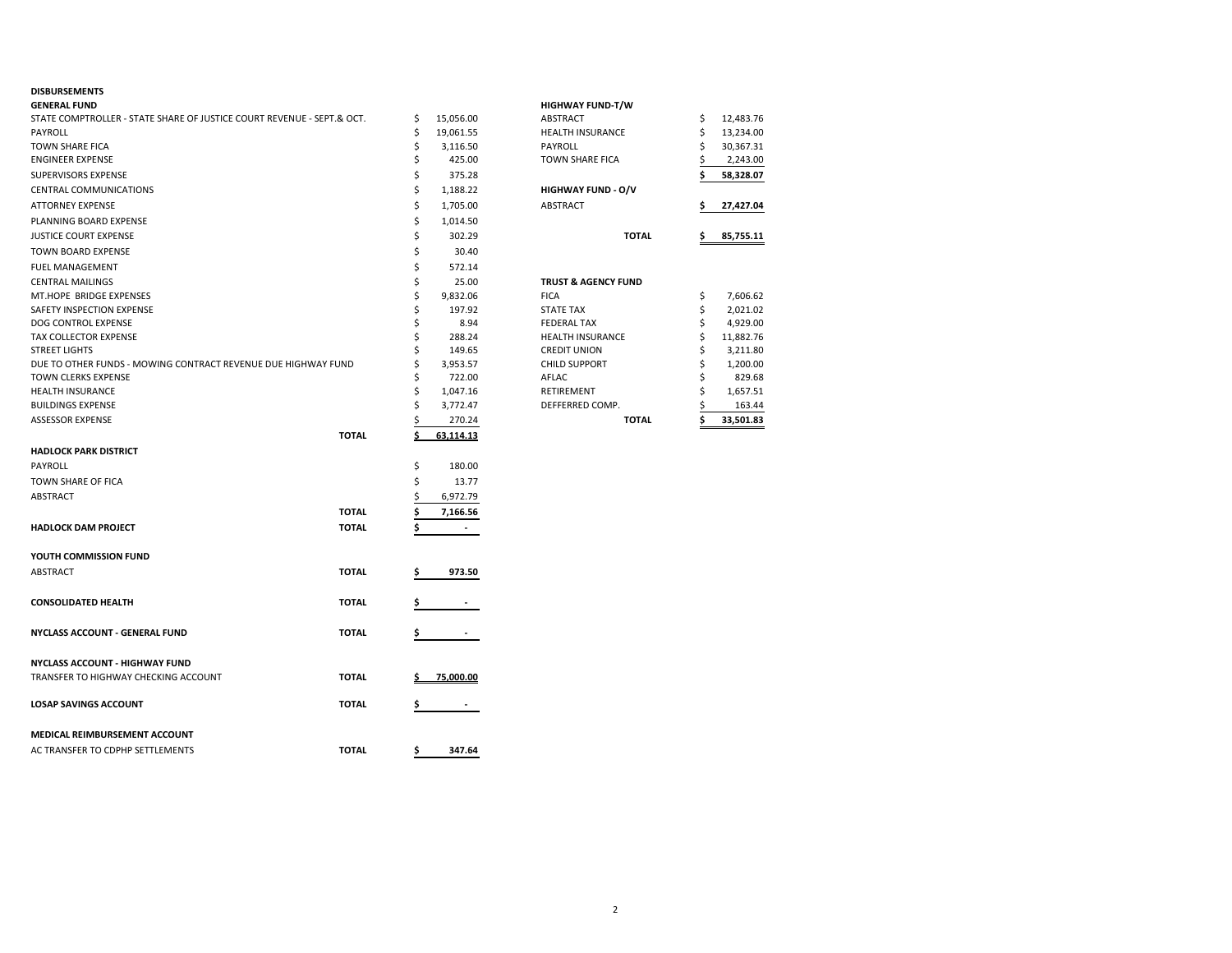## **DISBURSEMENTS**

| <b>GENERAL FUND</b>                                                    |              |    |           | <b>HIGHWAY FUND-T/W</b>        |    |           |
|------------------------------------------------------------------------|--------------|----|-----------|--------------------------------|----|-----------|
| STATE COMPTROLLER - STATE SHARE OF JUSTICE COURT REVENUE - SEPT.& OCT. |              | \$ | 15,056.00 | ABSTRACT                       | \$ | 12,483.76 |
| PAYROLL                                                                |              | \$ | 19,061.55 | <b>HEALTH INSURANCE</b>        | \$ | 13,234.00 |
| <b>TOWN SHARE FICA</b>                                                 |              | Ś  | 3,116.50  | <b>PAYROLL</b>                 | Ś  | 30,367.31 |
| <b>ENGINEER EXPENSE</b>                                                |              | \$ | 425.00    | <b>TOWN SHARE FICA</b>         |    | 2,243.00  |
| SUPERVISORS EXPENSE                                                    |              | \$ | 375.28    |                                |    | 58,328.07 |
| <b>CENTRAL COMMUNICATIONS</b>                                          |              | \$ | 1,188.22  | <b>HIGHWAY FUND - O/V</b>      |    |           |
| <b>ATTORNEY EXPENSE</b>                                                |              | \$ | 1,705.00  | ABSTRACT                       | \$ | 27,427.04 |
| PLANNING BOARD EXPENSE                                                 |              | \$ | 1,014.50  |                                |    |           |
| <b>JUSTICE COURT EXPENSE</b>                                           |              | \$ | 302.29    | <b>TOTAL</b>                   | \$ | 85,755.11 |
| <b>TOWN BOARD EXPENSE</b>                                              |              | \$ | 30.40     |                                |    |           |
| <b>FUEL MANAGEMENT</b>                                                 |              | \$ | 572.14    |                                |    |           |
| <b>CENTRAL MAILINGS</b>                                                |              | \$ | 25.00     | <b>TRUST &amp; AGENCY FUND</b> |    |           |
| MT.HOPE BRIDGE EXPENSES                                                |              | \$ | 9,832.06  | <b>FICA</b>                    | \$ | 7,606.62  |
| SAFETY INSPECTION EXPENSE                                              |              | \$ | 197.92    | <b>STATE TAX</b>               | \$ | 2,021.02  |
| DOG CONTROL EXPENSE                                                    |              | \$ | 8.94      | <b>FEDERAL TAX</b>             | Ś  | 4,929.00  |
| TAX COLLECTOR EXPENSE                                                  |              | \$ | 288.24    | <b>HEALTH INSURANCE</b>        | \$ | 11,882.76 |
| <b>STREET LIGHTS</b>                                                   |              | \$ | 149.65    | <b>CREDIT UNION</b>            | \$ | 3,211.80  |
| DUE TO OTHER FUNDS - MOWING CONTRACT REVENUE DUE HIGHWAY FUND          |              | \$ | 3,953.57  | <b>CHILD SUPPORT</b>           | \$ | 1,200.00  |
| <b>TOWN CLERKS EXPENSE</b>                                             |              | \$ | 722.00    | AFLAC                          | Ś  | 829.68    |
| <b>HEALTH INSURANCE</b>                                                |              | \$ | 1,047.16  | RETIREMENT                     |    | 1,657.51  |
| <b>BUILDINGS EXPENSE</b>                                               |              | \$ | 3,772.47  | DEFFERRED COMP.                |    | 163.44    |
| <b>ASSESSOR EXPENSE</b>                                                |              | \$ | 270.24    | <b>TOTAL</b>                   | Ś  | 33,501.83 |
|                                                                        | <b>TOTAL</b> | \$ | 63,114.13 |                                |    |           |
| <b>HADLOCK PARK DISTRICT</b>                                           |              |    |           |                                |    |           |
|                                                                        |              |    |           |                                |    |           |
| PAYROLL                                                                |              | \$ | 180.00    |                                |    |           |
| TOWN SHARE OF FICA                                                     |              | Ś  | 13.77     |                                |    |           |
| ABSTRACT                                                               |              | Ś  | 6,972.79  |                                |    |           |
|                                                                        | <b>TOTAL</b> | \$ | 7,166.56  |                                |    |           |
| <b>HADLOCK DAM PROJECT</b>                                             | <b>TOTAL</b> | Ś  |           |                                |    |           |
|                                                                        |              |    |           |                                |    |           |
| YOUTH COMMISSION FUND                                                  |              |    |           |                                |    |           |
| ABSTRACT                                                               | <b>TOTAL</b> | S  | 973.50    |                                |    |           |
|                                                                        |              |    |           |                                |    |           |
| <b>CONSOLIDATED HEALTH</b>                                             | <b>TOTAL</b> | \$ |           |                                |    |           |
|                                                                        |              |    |           |                                |    |           |
| NYCLASS ACCOUNT - GENERAL FUND                                         | <b>TOTAL</b> | \$ |           |                                |    |           |
|                                                                        |              |    |           |                                |    |           |
| <b>NYCLASS ACCOUNT - HIGHWAY FUND</b>                                  |              |    |           |                                |    |           |
| TRANSFER TO HIGHWAY CHECKING ACCOUNT                                   | <b>TOTAL</b> |    | 75,000.00 |                                |    |           |
| <b>LOSAP SAVINGS ACCOUNT</b>                                           | <b>TOTAL</b> | \$ |           |                                |    |           |
|                                                                        |              |    |           |                                |    |           |
|                                                                        |              |    |           |                                |    |           |
| MEDICAL REIMBURSEMENT ACCOUNT                                          |              |    |           |                                |    |           |
| AC TRANSFER TO CDPHP SETTLEMENTS                                       | <b>TOTAL</b> | \$ | 347.64    |                                |    |           |